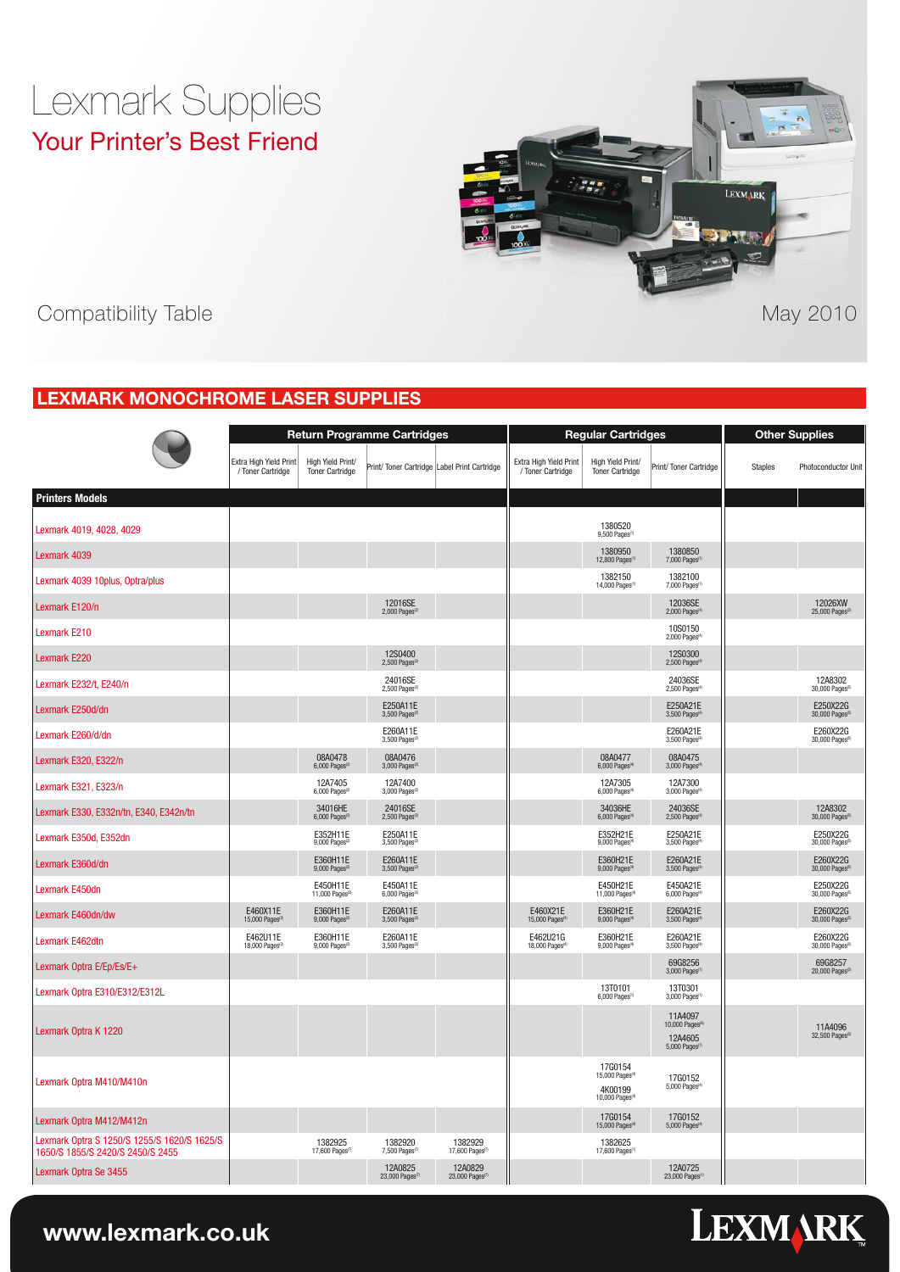## Lexmark Supplies Your Printer's Best Friend



Supplies Compatibility Table May 2010

### **Lexmark Monochrome Laser Supplies**

|                                                                                 |                                             |                                             | <b>Return Programme Cartridges</b>                  |                                       |                                             | <b>Regular Cartridges</b>                                                        |                                                                              | <b>Other Supplies</b> |                                                     |  |
|---------------------------------------------------------------------------------|---------------------------------------------|---------------------------------------------|-----------------------------------------------------|---------------------------------------|---------------------------------------------|----------------------------------------------------------------------------------|------------------------------------------------------------------------------|-----------------------|-----------------------------------------------------|--|
|                                                                                 | Extra High Yield Print<br>/ Toner Cartridge | High Yield Print/<br><b>Toner Cartridge</b> | Print/ Toner Cartridge Label Print Cartridge        |                                       | Extra High Yield Print<br>/ Toner Cartridge | High Yield Print/<br><b>Toner Cartridge</b>                                      | Print/Toner Cartridge                                                        | <b>Staples</b>        | Photoconductor Unit                                 |  |
| <b>Printers Models</b>                                                          |                                             |                                             |                                                     |                                       |                                             |                                                                                  |                                                                              |                       |                                                     |  |
| Lexmark 4019, 4028, 4029                                                        |                                             |                                             |                                                     |                                       |                                             | 1380520<br>9,500 Pages                                                           |                                                                              |                       |                                                     |  |
| Lexmark 4039                                                                    |                                             |                                             |                                                     |                                       |                                             | 1380950<br>12,800 Pages <sup>(</sup>                                             | 1380850<br>7,000 Pages <sup>(1</sup>                                         |                       |                                                     |  |
| Lexmark 4039 10plus, Optra/plus                                                 |                                             |                                             |                                                     |                                       |                                             | 1382150<br>14,000 Pages                                                          | 1382100<br>7,000 Pages <sup>(1</sup>                                         |                       |                                                     |  |
| Lexmark E120/n                                                                  |                                             |                                             | 12016SE<br>$2,000$ Pages <sup><math>2</math></sup>  |                                       |                                             |                                                                                  | 12036SE<br>$2,000$ Pages <sup>(4</sup>                                       |                       | 12026XW<br>$25,000$ Pages <sup><math>3</math></sup> |  |
| Lexmark E210                                                                    |                                             |                                             |                                                     |                                       |                                             |                                                                                  | 10S0150<br>2,000 Pages <sup>®</sup>                                          |                       |                                                     |  |
| Lexmark E220                                                                    |                                             |                                             | 12S0400<br>$2,500$ Pages ${}^{2}$                   |                                       |                                             |                                                                                  | 12S0300<br>2,500 Pages <sup>®</sup>                                          |                       |                                                     |  |
| Lexmark E232/t, E240/n                                                          |                                             |                                             | 24016SE<br>$2,500$ Pages <sup>2</sup>               |                                       |                                             |                                                                                  | 24036SE<br>2,500 Pages <sup>(4</sup>                                         |                       | 12A8302<br>30,000 Pages <sup>6</sup>                |  |
| Lexmark E250d/dn                                                                |                                             |                                             | E250A11E<br>$3,500$ Pages <sup><math>2</math></sup> |                                       |                                             |                                                                                  | E250A21E<br>3,500 Pages <sup>(4</sup>                                        |                       | E250X22G<br>30,000 Pages <sup>(5)</sup>             |  |
| Lexmark E260/d/dn                                                               |                                             |                                             | E260A11E<br>$3,500$ Pages <sup>(2)</sup>            |                                       |                                             |                                                                                  | E260A21E<br>3,500 Pages <sup>(4)</sup>                                       |                       | E260X22G<br>30,000 Pages <sup>®</sup>               |  |
| Lexmark E320, E322/n                                                            |                                             | 08A0478<br>$6,000$ Pages <sup>(2</sup>      | 08A0476<br>$3,000$ Pages <sup><math>2</math></sup>  |                                       |                                             | 08A0477<br>6,000 Pages <sup>(4</sup>                                             | 08A0475<br>3,000 Pages <sup>(4</sup>                                         |                       |                                                     |  |
| Lexmark E321, E323/n                                                            |                                             | 12A7405<br>6,000 Pages <sup>(2)</sup>       | 12A7400<br>3,000 Pages <sup>2</sup>                 |                                       |                                             | 12A7305<br>6,000 Pages <sup>(4</sup>                                             | 12A7300<br>3,000 Pages <sup>(4</sup>                                         |                       |                                                     |  |
| Lexmark E330, E332n/tn, E340, E342n/tn                                          |                                             | 34016HE<br>$6,000$ Pages <sup>(2)</sup>     | 24016SE<br>$2,500$ Pages <sup>(2)</sup>             |                                       |                                             | 34036HE<br>6,000 Pages <sup>(4</sup>                                             | 24036SE<br>2,500 Pages <sup>(4</sup>                                         |                       | 12A8302<br>30,000 Pages <sup>6</sup>                |  |
| Lexmark E350d, E352dn                                                           |                                             | E352H11E<br>9,000 Pages <sup>(2)</sup>      | E250A11E<br>3,500 Pages <sup>(2)</sup>              |                                       |                                             | E352H21E<br>9,000 Pages <sup>(4</sup>                                            | E250A21E<br>3,500 Pages <sup>(4</sup>                                        |                       | E250X22G<br>30,000 Pages <sup>(5)</sup>             |  |
| Lexmark E360d/dn                                                                |                                             | E360H11E<br>9,000 Pages <sup>(2)</sup>      | E260A11E<br>3,500 Pages <sup>(2)</sup>              |                                       |                                             | E360H21E<br>9,000 Pages <sup>(4</sup>                                            | E260A21E<br>3,500 Pages <sup>(4)</sup>                                       |                       | E260X22G<br>30,000 Pages <sup>(5)</sup>             |  |
| Lexmark E450dn                                                                  |                                             | E450H11E<br>11,000 Pages <sup>(2</sup>      | E450A11E<br>6,000 Pages <sup>(2)</sup>              |                                       |                                             | E450H21E<br>11,000 Pages <sup>(4</sup>                                           | E450A21E<br>6,000 Pages <sup>(4)</sup>                                       |                       | E250X22G<br>30,000 Pages <sup>(5)</sup>             |  |
| Lexmark E460dn/dw                                                               | E460X11E<br>15,000 Pages <sup>(2)</sup>     | E360H11E<br>9,000 Pages <sup>(2)</sup>      | E260A11E<br>3,500 Pages <sup>(2)</sup>              |                                       | E460X21E<br>15,000 Pages <sup>(4</sup>      | E360H21E<br>$9,000$ Pages <sup><math>(4)</math></sup>                            | E260A21E<br>3,500 Pages <sup>(4)</sup>                                       |                       | E260X22G<br>30,000 Pages <sup>(5)</sup>             |  |
| Lexmark E462dtn                                                                 | E462U11E<br>18,000 Pages <sup>®</sup>       | E360H11E<br>9,000 Pages <sup>(2</sup>       | E260A11E<br>3,500 Pages <sup>(2)</sup>              |                                       | E462U21G<br>18,000 Pages <sup>(4</sup>      | E360H21E<br>9,000 Pages <sup>(4</sup>                                            | E260A21E<br>3,500 Pages <sup>(4)</sup>                                       |                       | E260X22G<br>30,000 Pages <sup>(5)</sup>             |  |
| Lexmark Optra E/Ep/Es/E+                                                        |                                             |                                             |                                                     |                                       |                                             |                                                                                  | 69G8256<br>3,000 Pages <sup>(1</sup>                                         |                       | 69G8257<br>20,000 Pages <sup>(3)</sup>              |  |
| Lexmark Optra E310/E312/E312L                                                   |                                             |                                             |                                                     |                                       |                                             | 13T0101<br>6,000 Pages                                                           | 13T0301<br>3,000 Pages <sup>(1</sup>                                         |                       |                                                     |  |
| Lexmark Optra K 1220                                                            |                                             |                                             |                                                     |                                       |                                             |                                                                                  | 11A4097<br>10,000 Pages <sup>®</sup><br>12A4605<br>5,000 Pages <sup>(1</sup> |                       | 11A4096<br>32,500 Pages <sup>(3)</sup>              |  |
| Lexmark Optra M410/M410n                                                        |                                             |                                             |                                                     |                                       |                                             | 17G0154<br>15,000 Pages <sup>(4)</sup><br>4K00199<br>10,000 Pages <sup>(4)</sup> | 17G0152<br>5,000 Pages <sup>(4</sup>                                         |                       |                                                     |  |
| Lexmark Optra M412/M412n                                                        |                                             |                                             |                                                     |                                       |                                             | 17G0154<br>15,000 Pages <sup>(4</sup>                                            | 17G0152<br>5,000 Pages <sup>(4</sup>                                         |                       |                                                     |  |
| Lexmark Optra S 1250/S 1255/S 1620/S 1625/S<br>1650/S 1855/S 2420/S 2450/S 2455 |                                             | 1382925<br>17,600 Pages(7)                  | 1382920<br>7,500 Pages <sup>(1</sup>                | 1382929<br>17,600 Pages               |                                             | 1382625<br>17,600 Pages <sup>(1</sup>                                            |                                                                              |                       |                                                     |  |
| Lexmark Optra Se 3455                                                           |                                             |                                             | 12A0825<br>23,000 Pages <sup>(7</sup>               | 12A0829<br>23,000 Pages <sup>(7</sup> |                                             |                                                                                  | 12A0725<br>23,000 Pages <sup>(1</sup>                                        |                       |                                                     |  |

# **LEXMARK**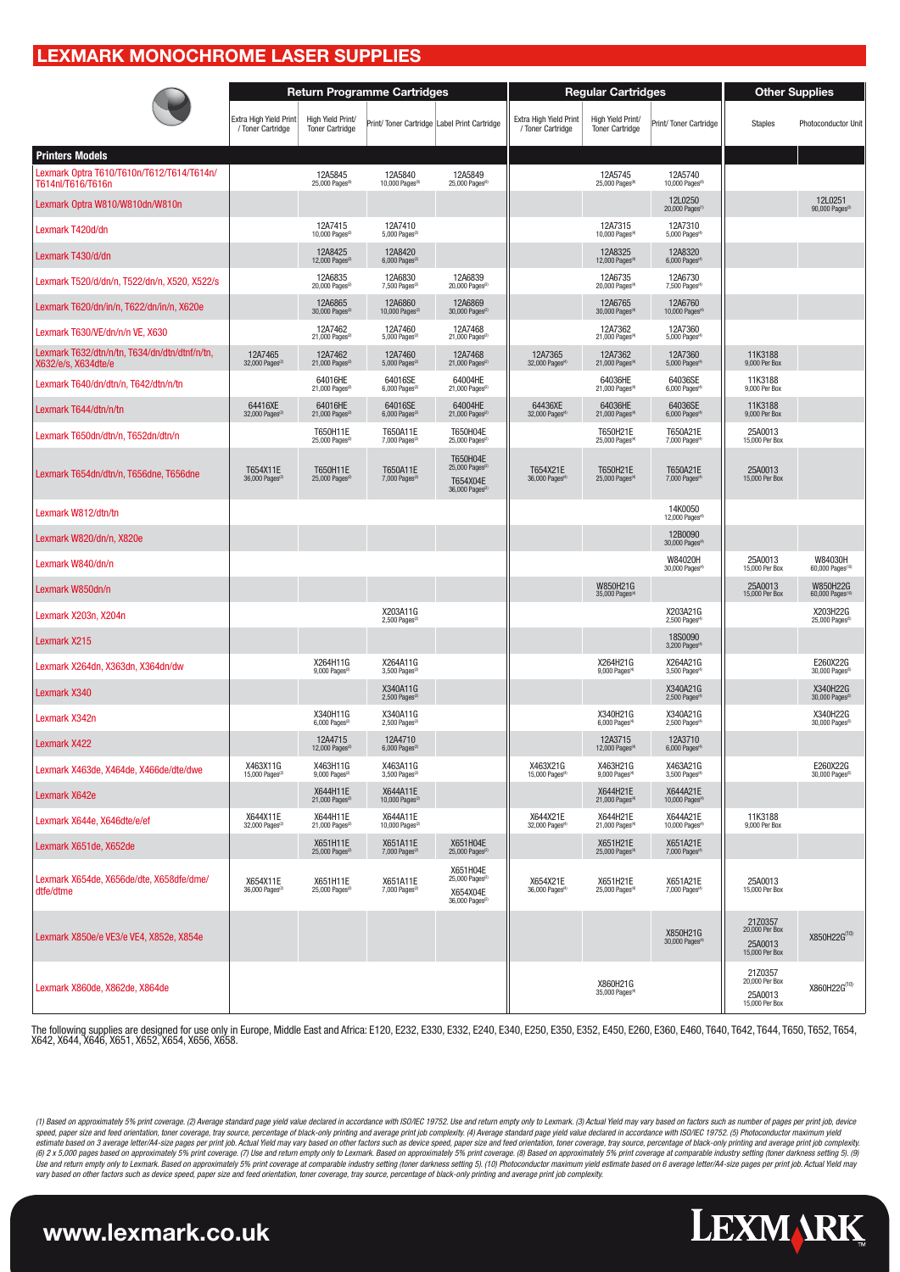#### **Lexmark Monochrome Laser Supplies**

|                                                                      |                                             |                                             | <b>Return Programme Cartridges</b>           |                                                                                    |                                             | <b>Regular Cartridges</b>                   |                                         | <b>Other Supplies</b>                                  |                                         |  |
|----------------------------------------------------------------------|---------------------------------------------|---------------------------------------------|----------------------------------------------|------------------------------------------------------------------------------------|---------------------------------------------|---------------------------------------------|-----------------------------------------|--------------------------------------------------------|-----------------------------------------|--|
|                                                                      | Extra High Yield Print<br>/ Toner Cartridge | High Yield Print/<br><b>Toner Cartridge</b> | Print/ Toner Cartridge Label Print Cartridge |                                                                                    | Extra High Yield Print<br>/ Toner Cartridge | High Yield Print/<br><b>Toner Cartridge</b> | Print/Toner Cartridge                   | <b>Staples</b>                                         | Photoconductor Unit                     |  |
| <b>Printers Models</b>                                               |                                             |                                             |                                              |                                                                                    |                                             |                                             |                                         |                                                        |                                         |  |
| Lexmark Optra T610/T610n/T612/T614/T614n/<br>T614nl/T616/T616n       |                                             | 12A5845<br>25,000 Pages <sup>(9)</sup>      | 12A5840<br>10,000 Pages <sup>®</sup>         | 12A5849<br>25,000 Pages <sup>(9)</sup>                                             |                                             | 12A5745<br>25,000 Pages <sup>®</sup>        | 12A5740<br>10,000 Pages <sup>(8)</sup>  |                                                        |                                         |  |
| Lexmark Optra W810/W810dn/W810n                                      |                                             |                                             |                                              |                                                                                    |                                             |                                             | 12L0250<br>20,000 Pages <sup>(1</sup>   |                                                        | 12L0251<br>90,000 Pages <sup>(3)</sup>  |  |
| Lexmark T420d/dn                                                     |                                             | 12A7415<br>10,000 Pages <sup>(2)</sup>      | 12A7410<br>5,000 Pages ${}^{2}$              |                                                                                    |                                             | 12A7315<br>10,000 Pages <sup>(4</sup>       | 12A7310<br>5,000 Pages <sup>(4</sup>    |                                                        |                                         |  |
| Lexmark T430/d/dn                                                    |                                             | 12A8425<br>12,000 Pages <sup>(2)</sup>      | 12A8420<br>6,000 Pages <sup>(2)</sup>        |                                                                                    |                                             | 12A8325<br>12,000 Pages <sup>(4</sup>       | 12A8320<br>6,000 Pages <sup>(4)</sup>   |                                                        |                                         |  |
| Lexmark T520/d/dn/n. T522/dn/n. X520. X522/s                         |                                             | 12A6835<br>20,000 Pages <sup>(2)</sup>      | 12A6830<br>7,500 Pages <sup>(2)</sup>        | 12A6839<br>20,000 Pages <sup>(2)</sup>                                             |                                             | 12A6735<br>20,000 Pages <sup>(4</sup>       | 12A6730<br>7,500 Pages <sup>(4)</sup>   |                                                        |                                         |  |
| Lexmark T620/dn/in/n, T622/dn/in/n, X620e                            |                                             | 12A6865<br>30,000 Pages <sup>(2)</sup>      | 12A6860<br>10,000 Pages <sup>(2)</sup>       | 12A6869<br>30,000 Pages <sup>(2</sup>                                              |                                             | 12A6765<br>30,000 Pages <sup>(4</sup>       | 12A6760<br>10,000 Pages <sup>®</sup>    |                                                        |                                         |  |
| Lexmark T630/VE/dn/n/n VE, X630                                      |                                             | 12A7462<br>21,000 Pages(2)                  | 12A7460<br>5,000 Pages <sup>(2)</sup>        | 12A7468<br>21,000 Pages <sup>2</sup>                                               |                                             | 12A7362<br>21,000 Pages <sup>(4)</sup>      | 12A7360<br>5,000 Pages <sup>(4</sup>    |                                                        |                                         |  |
| Lexmark T632/dtn/n/tn, T634/dn/dtn/dtnf/n/tn,<br>X632/e/s, X634dte/e | 12A7465<br>32,000 Pages <sup>(2)</sup>      | 12A7462<br>21,000 Pages <sup>(2)</sup>      | 12A7460<br>5,000 Pages $(2)$                 | 12A7468<br>21,000 Pages <sup>(2</sup>                                              | 12A7365<br>32,000 Pages <sup>®</sup>        | 12A7362<br>21,000 Pages <sup>(4</sup>       | 12A7360<br>5,000 Pages <sup>(4</sup>    | 11K3188<br>9,000 Per Box                               |                                         |  |
| Lexmark T640/dn/dtn/n, T642/dtn/n/tn                                 |                                             | 64016HE<br>21,000 Pages <sup>(2)</sup>      | 64016SE<br>6,000 Pages <sup>(2)</sup>        | 64004HE<br>21,000 Pages <sup>(2)</sup>                                             |                                             | 64036HE<br>21,000 Pages <sup>(4</sup>       | 64036SE<br>6,000 Pages <sup>(4</sup>    | 11K3188<br>9,000 Per Box                               |                                         |  |
| Lexmark T644/dtn/n/tn                                                | 64416XE<br>32,000 Pages <sup>(2</sup>       | 64016HE<br>21,000 Pages(2)                  | 64016SE<br>6,000 Pages <sup>(2)</sup>        | 64004HE<br>21,000 Pages <sup>(2)</sup>                                             | 64436XE<br>32,000 Pages <sup>®</sup>        | 64036HE<br>21,000 Pages <sup>(4</sup>       | 64036SE<br>6,000 Pages <sup>(4</sup>    | 11K3188<br>9,000 Per Box                               |                                         |  |
| Lexmark T650dn/dtn/n, T652dn/dtn/n                                   |                                             | T650H11E<br>25,000 Pages <sup>®</sup>       | T650A11E<br>7,000 Pages <sup>(2</sup>        | T650H04E<br>25,000 Pages <sup>®</sup>                                              |                                             | T650H21E<br>25,000 Pages <sup>(</sup>       | T650A21E<br>7,000 Pages <sup>(</sup>    | 25A0013<br>15,000 Per Box                              |                                         |  |
| Lexmark T654dn/dtn/n, T656dne, T656dne                               | T654X11E<br>36,000 Pages <sup>2</sup>       | T650H11E<br>25,000 Pages <sup>®</sup>       | T650A11E<br>7,000 Pages <sup>®</sup>         | T650H04E<br>25,000 Pages <sup>(2</sup><br>T654X04E<br>36,000 Pages <sup>(2</sup>   | T654X21E<br>36,000 Pages <sup>®</sup>       | T650H21E<br>25,000 Pages <sup>®</sup>       | T650A21E<br>7,000 Pages <sup>(4</sup>   | 25A0013<br>15,000 Per Box                              |                                         |  |
| Lexmark W812/dtn/tn                                                  |                                             |                                             |                                              |                                                                                    |                                             |                                             | 14K0050<br>12,000 Pages <sup>(4</sup>   |                                                        |                                         |  |
| Lexmark W820/dn/n, X820e                                             |                                             |                                             |                                              |                                                                                    |                                             |                                             | 12B0090<br>30,000 Pages <sup>®</sup>    |                                                        |                                         |  |
| Lexmark W840/dn/n                                                    |                                             |                                             |                                              |                                                                                    |                                             |                                             | W84020H<br>30,000 Pages <sup>®</sup>    | 25A0013<br>15,000 Per Box                              | W84030H<br>60,000 Pages(1)              |  |
| Lexmark W850dn/n                                                     |                                             |                                             |                                              |                                                                                    |                                             | W850H21G<br>35,000 Pages                    |                                         | 25A0013<br>15,000 Per Box                              | W850H22G<br>60,000 Pages <sup>(1)</sup> |  |
| Lexmark X203n, X204n                                                 |                                             |                                             | X203A11G<br>2,500 Pages <sup>(2)</sup>       |                                                                                    |                                             |                                             | X203A21G<br>2,500 Pages <sup>(4</sup>   |                                                        | X203H22G<br>25,000 Pages <sup>(5)</sup> |  |
| Lexmark X215                                                         |                                             |                                             |                                              |                                                                                    |                                             |                                             | 18S0090<br>3,200 Pages <sup>®</sup>     |                                                        |                                         |  |
| Lexmark X264dn, X363dn, X364dn/dw                                    |                                             | X264H11G<br>9,000 Pages <sup>(2)</sup>      | X264A11G<br>3,500 Pages <sup>(2)</sup>       |                                                                                    |                                             | X264H21G<br>9,000 Pages <sup>(4</sup>       | X264A21G<br>3,500 Pages <sup>(4</sup>   |                                                        | E260X22G<br>30,000 Pages <sup>(5)</sup> |  |
| Lexmark X340                                                         |                                             |                                             | X340A11G<br>2,500 Pages $^{(2)}$             |                                                                                    |                                             |                                             | X340A21G<br>2,500 Pages <sup>(4)</sup>  |                                                        | X340H22G<br>30,000 Pages <sup>(5)</sup> |  |
| Lexmark X342n                                                        |                                             | X340H11G<br>6,000 Pages <sup>(2</sup>       | X340A11G<br>$2,500$ Pages <sup>(2</sup>      |                                                                                    |                                             | X340H21G<br>6,000 Pages <sup>(4</sup>       | X340A21G<br>2,500 Pages <sup>(4</sup>   |                                                        | X340H22G<br>30,000 Pages <sup>(5</sup>  |  |
| <b>Lexmark X422</b>                                                  |                                             | 12A4715<br>12,000 Pages                     | 12A4710                                      |                                                                                    |                                             | 12A3715<br>12,000 Pages                     | 12A3710<br>6,000 Pages                  |                                                        |                                         |  |
| Lexmark X463de, X464de, X466de/dte/dwe                               | X463X11G<br>15,000 Pages <sup>(2</sup>      | X463H11G<br>9,000 Pages <sup>(2)</sup>      | X463A11G<br>3,500 Pages <sup>(2)</sup>       |                                                                                    | X463X21G<br>15,000 Pages <sup>(4</sup>      | X463H21G<br>9,000 Pages <sup>(4)</sup>      | X463A21G<br>3,500 Pages <sup>(4</sup>   |                                                        | E260X22G<br>30,000 Pages <sup>(5)</sup> |  |
| Lexmark X642e                                                        |                                             | X644H11E<br>21,000 Pages(2)                 | X644A11E<br>10,000 Pages <sup>(2)</sup>      |                                                                                    |                                             | X644H21E<br>21,000 Pages <sup>(4</sup>      | X644A21E<br>10,000 Pages <sup>®</sup>   |                                                        |                                         |  |
| Lexmark X644e, X646dte/e/ef                                          | X644X11E<br>32,000 Pages <sup>(2)</sup>     | X644H11E<br>21,000 Pages <sup>(2)</sup>     | X644A11E<br>10,000 Pages <sup>(2)</sup>      |                                                                                    | X644X21E<br>32,000 Pages <sup>(4</sup>      | X644H21E<br>21,000 Pages <sup>(4)</sup>     | X644A21E<br>10,000 Pages <sup>(4)</sup> | 11K3188<br>9,000 Per Box                               |                                         |  |
| Lexmark X651de, X652de                                               |                                             | X651H11E<br>25,000 Pages <sup>(2)</sup>     | X651A11E<br>7,000 Pages <sup>(2)</sup>       | X651H04E<br>25,000 Pages <sup>(2)</sup>                                            |                                             | X651H21E<br>25,000 Pages <sup>(4)</sup>     | X651A21E<br>7,000 Pages <sup>(4</sup>   |                                                        |                                         |  |
| Lexmark X654de, X656de/dte, X658dfe/dme/<br>dtfe/dtme                | X654X11E<br>36,000 Pages <sup>(2</sup>      | X651H11E<br>25,000 Pages <sup>(2)</sup>     | X651A11E<br>7,000 Pages <sup>(2)</sup>       | X651H04E<br>25,000 Pages <sup>(2)</sup><br>X654X04E<br>36,000 Pages <sup>(2)</sup> | X654X21E<br>36,000 Pages <sup>(4</sup>      | X651H21E<br>25,000 Pages <sup>(4</sup>      | X651A21E<br>7,000 Pages <sup>(4</sup>   | 25A0013<br>15,000 Per Box                              |                                         |  |
| Lexmark X850e/e VE3/e VE4, X852e, X854e                              |                                             |                                             |                                              |                                                                                    |                                             |                                             | X850H21G<br>30,000 Pages <sup>(4</sup>  | 21Z0357<br>20,000 Per Box<br>25A0013<br>15,000 Per Box | X850H22G(10)                            |  |
| Lexmark X860de, X862de, X864de                                       |                                             |                                             |                                              |                                                                                    |                                             | X860H21G<br>35,000 Pages <sup>(4</sup>      |                                         | 21Z0357<br>20,000 Per Box<br>25A0013<br>15,000 Per Box | $X860H22G^{(10)}$                       |  |

The following supplies are designed for use only in Europe, Middle East and Africa: E120, E232, E330, E332, E240, E350, E350, E350, E450, E360, E360, E460, T640, T640, T644, T650, T652, T654,<br>X642, X644, X646, X651, X652,

(1) Based on approximately 5% print coverage. (2) Average standard page yield value declared in accordance with ISO/IEC 19752. Use and return empty only to Lexmark. (3) Actual Yield may vary based on factors such as number estimate based on 3 average letter/A4-size pages per print job. Actual Yield may vary based on other factors such as device speed, paper size and feed orientation, toner coverage, tray source, percentage of black-only prin *vary based on other factors such as device speed, paper size and feed orientation, toner coverage, tray source, percentage of black-only printing and average print job complexity.*

**LEXMARK**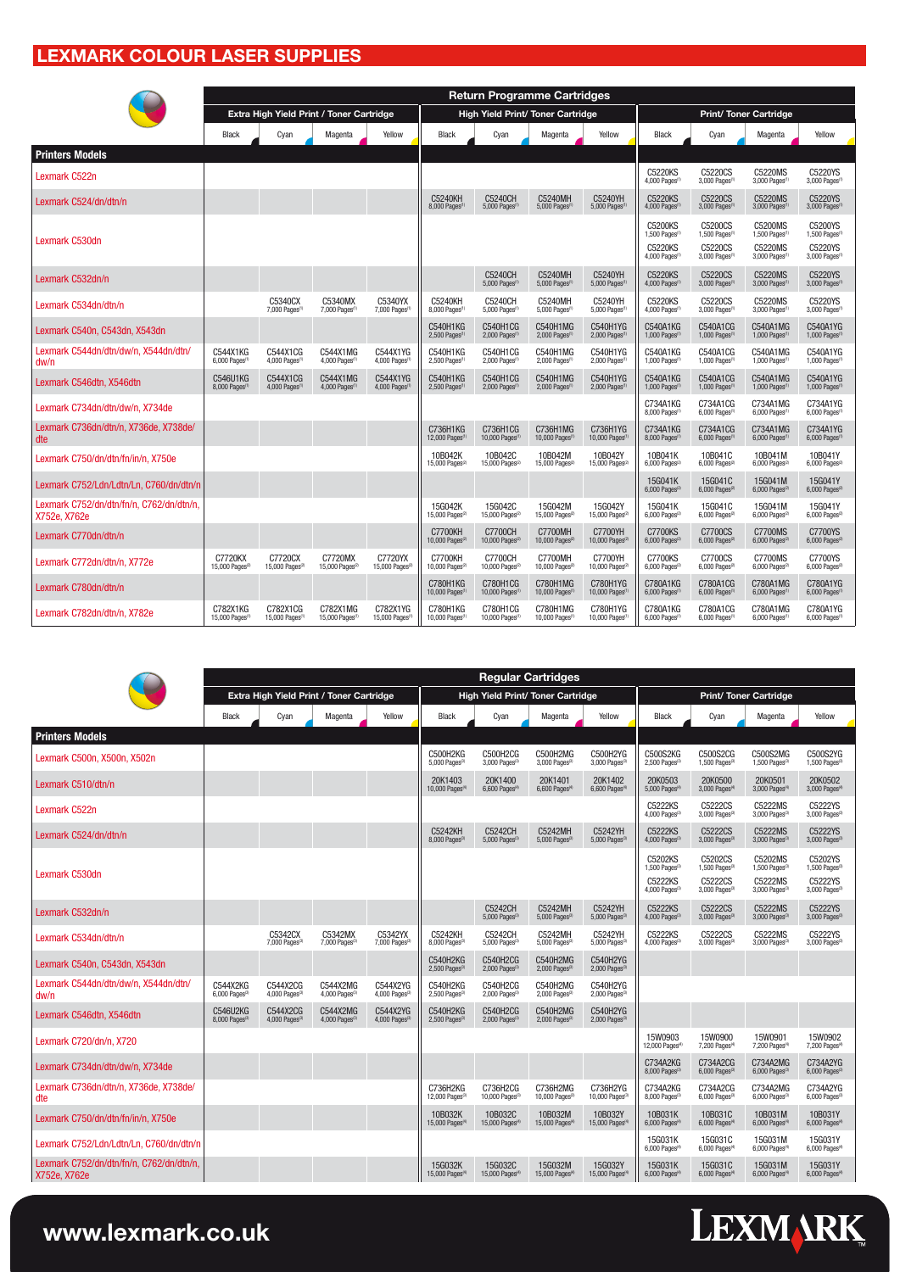### **Lexmark Colour Laser Supplies**

|                                                          |                                         |                                         |                                          |                                        |                                                            |                                                       | <b>Return Programme Cartridges</b>                    |                                                     |                                                                   |                                                                               |                                                                              |                                                                              |
|----------------------------------------------------------|-----------------------------------------|-----------------------------------------|------------------------------------------|----------------------------------------|------------------------------------------------------------|-------------------------------------------------------|-------------------------------------------------------|-----------------------------------------------------|-------------------------------------------------------------------|-------------------------------------------------------------------------------|------------------------------------------------------------------------------|------------------------------------------------------------------------------|
|                                                          |                                         |                                         | Extra High Yield Print / Toner Cartridge |                                        |                                                            |                                                       | <b>High Yield Print/ Toner Cartridge</b>              |                                                     |                                                                   |                                                                               | <b>Print/ Toner Cartridge</b>                                                |                                                                              |
|                                                          | Black                                   | Cyan                                    | Magenta                                  | Yellow                                 | Black                                                      | Cyan                                                  | Magenta                                               | Yellow                                              | Black                                                             | Cyan                                                                          | Magenta                                                                      | Yellow                                                                       |
| <b>Printers Models</b>                                   |                                         |                                         |                                          |                                        |                                                            |                                                       |                                                       |                                                     |                                                                   |                                                                               |                                                                              |                                                                              |
| Lexmark C522n                                            |                                         |                                         |                                          |                                        |                                                            |                                                       |                                                       |                                                     | C5220KS<br>4,000 Pages <sup>(1</sup>                              | C5220CS<br>3,000 Pages <sup>(1</sup>                                          | C5220MS<br>3,000 Pages <sup>(1</sup>                                         | C5220YS<br>3,000 Pages <sup>(1</sup>                                         |
| Lexmark C524/dn/dtn/n                                    |                                         |                                         |                                          |                                        | C5240KH<br>8,000 Pages(1)                                  | <b>C5240CH</b><br>5,000 Pages <sup>(1</sup>           | C5240MH<br>5,000 Pages <sup>(1</sup>                  | C5240YH<br>$5,000$ Pages <sup><math>1</math></sup>  | <b>C5220KS</b><br>4,000 Pages <sup>(1</sup>                       | <b>C5220CS</b><br>3,000 Pages <sup>(1)</sup>                                  | <b>C5220MS</b><br>3,000 Pages <sup>(1)</sup>                                 | C5220YS<br>3,000 Pages <sup>(1</sup>                                         |
| Lexmark C530dn                                           |                                         |                                         |                                          |                                        |                                                            |                                                       |                                                       |                                                     | C5200KS<br>1,500 Pages <sup>(1</sup><br>C5220KS<br>4,000 Pages(1) | C5200CS<br>1,500 Pages <sup>(1</sup><br>C5220CS<br>3,000 Pages <sup>(1)</sup> | C5200MS<br>1,500 Pages <sup>(1</sup><br>C5220MS<br>3,000 Pages <sup>(1</sup> | C5200YS<br>1,500 Pages <sup>(1</sup><br>C5220YS<br>3,000 Pages <sup>(1</sup> |
| Lexmark C532dn/n                                         |                                         |                                         |                                          |                                        |                                                            | C5240CH<br>5,000 Pages                                | C5240MH<br>5,000 Pages <sup>(1</sup>                  | C5240YH<br>5,000 Pages                              | C5220KS<br>4,000 Pages <sup>(1</sup>                              | C5220CS<br>3,000 Pages <sup>(1</sup>                                          | C5220MS<br>3,000 Pages <sup>(1</sup>                                         | C5220YS<br>3,000 Pages <sup>(1</sup>                                         |
| Lexmark C534dn/dtn/n                                     |                                         | C5340CX<br>7,000 Pages(1)               | C5340MX<br>7,000 Pages(1)                | C5340YX<br>7,000 Pages <sup>(1)</sup>  | C5240KH<br>8,000 Pages(1)                                  | C5240CH<br>5,000 Pages <sup>(1</sup>                  | C5240MH<br>5,000 Pages <sup>(1</sup>                  | C5240YH<br>5,000 Pages <sup>(1</sup>                | C5220KS<br>4,000 Pages <sup>(1)</sup>                             | C5220CS<br>3,000 Pages <sup>(1)</sup>                                         | C5220MS<br>3,000 Pages <sup>(1</sup>                                         | C5220YS<br>3,000 Pages <sup>(1</sup>                                         |
| Lexmark C540n, C543dn, X543dn                            |                                         |                                         |                                          |                                        | <b>C540H1KG</b><br>$2,500$ Pages <sup><math>1</math></sup> | C540H1CG<br>$2,000$ Pages $(1)$                       | C540H1MG<br>$2,000$ Pages <sup><math>(1)</math></sup> | C540H1YG<br>$2,000$ Pages <sup><math>1</math></sup> | C540A1KG<br>1,000 Pages <sup>(1</sup>                             | C540A1CG<br>$1,000$ Pages <sup><math>(1)</math></sup>                         | C540A1MG<br>1,000 Pages <sup>(1)</sup>                                       | C540A1YG<br>$1,000$ Pages $1$                                                |
| Lexmark C544dn/dtn/dw/n, X544dn/dtn/<br>dw/n             | C544X1KG<br>6,000 Pages <sup>(1</sup>   | C544X1CG<br>4,000 Pages <sup>(1)</sup>  | C544X1MG<br>4,000 Pages <sup>(1)</sup>   | C544X1YG<br>4,000 Pages <sup>(1</sup>  | C540H1KG<br>2,500 Pages <sup>(1)</sup>                     | C540H1CG<br>2,000 Pages <sup>(1</sup>                 | C540H1MG<br>2,000 Pages <sup>®</sup>                  | C540H1YG<br>2,000 Pages <sup>(1</sup>               | C540A1KG<br>1,000 Pages <sup>(1</sup>                             | C540A1CG<br>1,000 Pages <sup>(1)</sup>                                        | C540A1MG<br>1,000 Pages <sup>(1</sup>                                        | C540A1YG<br>1,000 Pages <sup>(1</sup>                                        |
| Lexmark C546dtn, X546dtn                                 | C546U1KG<br>8,000 Pages <sup>(1)</sup>  | C544X1CG<br>4,000 Pages(1)              | C544X1MG<br>4,000 Pages <sup>(1)</sup>   | C544X1YG<br>4,000 Pages <sup>(1</sup>  | C540H1KG<br>2,500 Pages(1)                                 | C540H1CG<br>$2,000$ Pages <sup><math>(1)</math></sup> | C540H1MG<br>2,000 Pages <sup>(1</sup>                 | C540H1YG<br>2,000 Pages                             | C540A1KG<br>1,000 Pages <sup>(1</sup>                             | C540A1CG<br>1,000 Pages <sup>(1)</sup>                                        | C540A1MG<br>1,000 Pages <sup>(1)</sup>                                       | C540A1YG<br>1,000 Pages <sup>(1</sup>                                        |
| Lexmark C734dn/dtn/dw/n, X734de                          |                                         |                                         |                                          |                                        |                                                            |                                                       |                                                       |                                                     | C734A1KG<br>8.000 Pages <sup>(1)</sup>                            | C734A1CG<br>6,000 Pages <sup>(1)</sup>                                        | C734A1MG<br>6,000 Pages <sup>(1)</sup>                                       | C734A1YG<br>$6.000$ Pages <sup>(1</sup>                                      |
| Lexmark C736dn/dtn/n, X736de, X738de/<br>dte             |                                         |                                         |                                          |                                        | C736H1KG<br>12,000 Pages <sup>(1</sup>                     | C736H1CG<br>10,000 Pages <sup>(1</sup>                | C736H1MG<br>10,000 Pages <sup>(1)</sup>               | C736H1YG<br>10,000 Pages                            | C734A1KG<br>8,000 Pages <sup>(1</sup>                             | C734A1CG<br>6,000 Pages <sup>(1)</sup>                                        | C734A1MG<br>6,000 Pages <sup>(1)</sup>                                       | C734A1YG<br>6,000 Pages <sup>(1</sup>                                        |
| Lexmark C750/dn/dtn/fn/in/n, X750e                       |                                         |                                         |                                          |                                        | 10B042K<br>15,000 Pages <sup>(2)</sup>                     | 10B042C<br>15,000 Pages <sup>(2)</sup>                | 10B042M<br>15,000 Pages <sup>(2)</sup>                | 10B042Y<br>15,000 Pages <sup>(2)</sup>              | 10B041K<br>$6,000$ Pages <sup>(2)</sup>                           | 10B041C<br>$6,000$ Pages <sup><math>2</math></sup>                            | 10B041M<br>$6,000$ Pages <sup>(2)</sup>                                      | 10B041Y<br>$6,000$ Pages <sup>(2</sup> )                                     |
| Lexmark C752/Ldn/Ldtn/Ln, C760/dn/dtn/n                  |                                         |                                         |                                          |                                        |                                                            |                                                       |                                                       |                                                     | 15G041K<br>$6,000$ Pages <sup>(2)</sup>                           | 15G041C<br>$6,000$ Pages <sup><math>2</math></sup>                            | 15G041M<br>$6,000$ Pages <sup><math>2</math></sup>                           | 15G041Y<br>$6,000$ Pages <sup><math>2</math></sup>                           |
| Lexmark C752/dn/dtn/fn/n, C762/dn/dtn/n,<br>X752e, X762e |                                         |                                         |                                          |                                        | 15G042K<br>15,000 Pages <sup>(2)</sup>                     | 15G042C<br>15,000 Pages <sup>2</sup>                  | 15G042M<br>15,000 Pages <sup>(2</sup>                 | 15G042Y<br>15,000 Pages <sup>(2</sup>               | 15G041K<br>6,000 Pages <sup>(2)</sup>                             | 15G041C<br>6,000 Pages <sup>2</sup>                                           | 15G041M<br>6,000 Pages <sup>(2)</sup>                                        | 15G041Y<br>6,000 Pages(2)                                                    |
| Lexmark C770dn/dtn/n                                     |                                         |                                         |                                          |                                        | <b>C7700KH</b><br>10,000 Pages <sup>(2)</sup>              | <b>C7700CH</b><br>10,000 Pages <sup>(2)</sup>         | <b>C7700MH</b><br>10,000 Pages $\mathbb{Z}$           | <b>C7700YH</b><br>10.000 Pages <sup>(2</sup>        | <b>C7700KS</b><br>6,000 Pages <sup>(2)</sup>                      | C7700CS<br>$6,000$ Pages $^{2}$                                               | <b>C7700MS</b><br>6,000 Pages <sup>(2)</sup>                                 | C7700YS<br>$6,000$ Pages <sup>(2)</sup>                                      |
| Lexmark C772dn/dtn/n, X772e                              | C7720KX<br>15,000 Pages <sup>(2)</sup>  | C7720CX<br>15,000 Pages <sup>(2)</sup>  | C7720MX<br>15,000 Pages <sup>2</sup>     | C7720YX<br>15,000 Pages <sup>(2)</sup> | <b>C7700KH</b><br>10,000 Pages <sup>(2)</sup>              | C7700CH<br>10,000 Pages <sup>2</sup>                  | C7700MH<br>10,000 Pages <sup>(2</sup>                 | C7700YH<br>10,000 Pages <sup>(2</sup>               | C7700KS<br>6,000 Pages <sup>(2)</sup>                             | C7700CS<br>6,000 Pages <sup>2</sup>                                           | C7700MS<br>6,000 Pages <sup>(2)</sup>                                        | C7700YS<br>$6,000$ Pages <sup>(2</sup> )                                     |
| Lexmark C780dn/dtn/n                                     |                                         |                                         |                                          |                                        | <b>C780H1KG</b><br>10,000 Pages <sup>(1</sup>              | C780H1CG<br>10,000 Pages                              | C780H1MG<br>10,000 Pages <sup>(1)</sup>               | C780H1YG<br>10,000 Pages                            | C780A1KG<br>6.000 Pages <sup>(1</sup>                             | C780A1CG<br>6.000 Pages(1)                                                    | C780A1MG<br>6,000 Pages <sup>(1)</sup>                                       | C780A1YG<br>6,000 Pages <sup>(1</sup>                                        |
| Lexmark C782dn/dtn/n, X782e                              | C782X1KG<br>15,000 Pages <sup>(1)</sup> | C782X1CG<br>15,000 Pages <sup>(1)</sup> | C782X1MG<br>15,000 Pages <sup>(1</sup>   | C782X1YG<br>15,000 Pages <sup>(1</sup> | C780H1KG<br>10,000 Pages <sup>(1</sup>                     | C780H1CG<br>$10,000$ Pages <sup><math>1</math></sup>  | C780H1MG<br>10,000 Pages <sup>(1)</sup>               | C780H1YG<br>10,000 Pages <sup>(1</sup>              | C780A1KG<br>6,000 Pages <sup>(1)</sup>                            | C780A1CG<br>6,000 Pages <sup>(1)</sup>                                        | C780A1MG<br>$6,000$ Pages <sup>(1</sup>                                      | C780A1YG<br>$6,000$ Pages <sup>(1</sup>                                      |

| <b>Regular Cartridges</b>                                |                                        |                                          |                                        |                                    |                                                 |                                          |                                          |                                          |                                                                                |                                                        |                                                                                |                                                                                |  |  |
|----------------------------------------------------------|----------------------------------------|------------------------------------------|----------------------------------------|------------------------------------|-------------------------------------------------|------------------------------------------|------------------------------------------|------------------------------------------|--------------------------------------------------------------------------------|--------------------------------------------------------|--------------------------------------------------------------------------------|--------------------------------------------------------------------------------|--|--|
|                                                          |                                        | Extra High Yield Print / Toner Cartridge |                                        |                                    |                                                 |                                          | <b>High Yield Print/ Toner Cartridge</b> |                                          |                                                                                |                                                        | <b>Print/Toner Cartridge</b>                                                   |                                                                                |  |  |
|                                                          | Black                                  | Cyan                                     | Magenta                                | Yellow                             | Black                                           | Cyan                                     | Magenta                                  | Yellow                                   | Black                                                                          | Cyan                                                   | Magenta                                                                        | Yellow                                                                         |  |  |
| <b>Printers Models</b>                                   |                                        |                                          |                                        |                                    |                                                 |                                          |                                          |                                          |                                                                                |                                                        |                                                                                |                                                                                |  |  |
| Lexmark C500n, X500n, X502n                              |                                        |                                          |                                        |                                    | C500H2KG<br>5,000 Pages <sup>(3)</sup>          | C500H2CG<br>3,000 Pages <sup>(3)</sup>   | C500H2MG<br>$3,000$ Pages $^{(3)}$       | C500H2YG<br>3,000 Pages <sup>(2</sup>    | C500S2KG<br>$2,500$ Pages <sup>(3)</sup>                                       | C500S2CG<br>$1,500$ Pages <sup>(3)</sup>               | C500S2MG<br>$1,500$ Pages <sup>(3)</sup>                                       | C500S2YG<br>1,500 Pages <sup>(3)</sup>                                         |  |  |
| Lexmark C510/dtn/n                                       |                                        |                                          |                                        |                                    | 20K1403<br>10,000 Pages <sup>(4)</sup>          | 20K1400<br>6,600 Pages <sup>(4)</sup>    | 20K1401<br>6,600 Pages <sup>(4)</sup>    | 20K1402<br>6,600 Pages <sup>(4</sup>     | 20K0503<br>5,000 Pages <sup>(4)</sup>                                          | 20K0500<br>3,000 Pages <sup>(4)</sup>                  | 20K0501<br>3,000 Pages <sup>(4)</sup>                                          | 20K0502<br>3,000 Pages <sup>(4)</sup>                                          |  |  |
| Lexmark C522n                                            |                                        |                                          |                                        |                                    |                                                 |                                          |                                          |                                          | C5222KS<br>4,000 Pages <sup>(3)</sup>                                          | C5222CS<br>3,000 Pages(3)                              | C5222MS<br>3,000 Pages <sup>(3)</sup>                                          | C5222YS<br>3,000 Pages <sup>(3)</sup>                                          |  |  |
| Lexmark C524/dn/dtn/n                                    |                                        |                                          |                                        |                                    | C5242KH<br>8,000 Pages <sup>(3)</sup>           | C5242CH<br>5,000 Pages(3)                | C5242MH<br>5,000 Pages <sup>(3)</sup>    | C5242YH<br>5.000 Pages <sup>(3</sup>     | C5222KS<br>4,000 Pages <sup>(3)</sup>                                          | C5222CS<br>3,000 Pages <sup>(3)</sup>                  | C5222MS<br>3,000 Pages <sup>(3)</sup>                                          | C5222YS<br>3,000 Pages <sup>(3)</sup>                                          |  |  |
| Lexmark C530dn                                           |                                        |                                          |                                        |                                    |                                                 |                                          |                                          |                                          | C5202KS<br>1,500 Pages <sup>(3)</sup><br>C5222KS<br>4,000 Pages <sup>(3)</sup> | C5202CS<br>1.500 Pages(3)<br>C5222CS<br>3,000 Pages(3) | C5202MS<br>1,500 Pages <sup>(3)</sup><br>C5222MS<br>3,000 Pages <sup>(3)</sup> | C5202YS<br>1,500 Pages <sup>(3)</sup><br>C5222YS<br>3,000 Pages <sup>(3)</sup> |  |  |
| Lexmark C532dn/n                                         |                                        |                                          |                                        |                                    |                                                 | C5242CH<br>5,000 Pages <sup>(3)</sup>    | C5242MH<br>5,000 Pages <sup>(3)</sup>    | C5242YH<br>5,000 Pages <sup>(3</sup>     | C5222KS<br>4,000 Pages <sup>(3)</sup>                                          | C5222CS<br>3,000 Pages <sup>(3)</sup>                  | C5222MS<br>3,000 Pages <sup>(3)</sup>                                          | C5222YS<br>3,000 Pages(3)                                                      |  |  |
| Lexmark C534dn/dtn/n                                     |                                        | C5342CX<br>7,000 Pages(3)                | C5342MX<br>7,000 Pages <sup>(3)</sup>  | C5342YX<br>7,000 Pages(3)          | C5242KH<br>8,000 Pages <sup>(3)</sup>           | C5242CH<br>5,000 Pages(3)                | C5242MH<br>5,000 Pages <sup>(3)</sup>    | C5242YH<br>5,000 Pages <sup>®</sup>      | C5222KS<br>4,000 Pages <sup>(3)</sup>                                          | C5222CS<br>3,000 Pages <sup>3</sup>                    | C5222MS<br>3,000 Pages <sup>(3)</sup>                                          | C5222YS<br>3,000 Pages <sup>(3)</sup>                                          |  |  |
| Lexmark C540n, C543dn, X543dn                            |                                        |                                          |                                        |                                    | <b>C540H2KG</b><br>$2,500$ Pages <sup>(3)</sup> | C540H2CG<br>$2,000$ Pages <sup>(3)</sup> | C540H2MG<br>$2,000$ Pages <sup>(3)</sup> | C540H2YG<br>$2.000$ Pages <sup>(3)</sup> |                                                                                |                                                        |                                                                                |                                                                                |  |  |
| Lexmark C544dn/dtn/dw/n. X544dn/dtn/<br>dw/n             | C544X2KG<br>6,000 Pages <sup>(3)</sup> | C544X2CG<br>4,000 Pages(3)               | C544X2MG<br>4,000 Pages <sup>(3)</sup> | C544X2YG<br>4,000 Pages(3)         | C540H2KG<br>2,500 Pages <sup>(3)</sup>          | C540H2CG<br>2,000 Pages(3)               | C540H2MG<br>2,000 Pages <sup>®</sup>     | C540H2YG<br>2,000 Pages <sup>(3)</sup>   |                                                                                |                                                        |                                                                                |                                                                                |  |  |
| Lexmark C546dtn, X546dtn                                 | C546U2KG<br>8,000 Pages <sup>(3)</sup> | C544X2CG<br>4,000 Pages(3)               | C544X2MG<br>4,000 Pages <sup>(3)</sup> | C544X2YG<br>$4,000$ Pages $^{(3)}$ | <b>C540H2KG</b><br>2,500 Pages <sup>(3)</sup>   | C540H2CG<br>$2,000$ Pages <sup>(3)</sup> | C540H2MG<br>$2,000$ Pages <sup>(3)</sup> | C540H2YG<br>$2,000$ Pages <sup>(3)</sup> |                                                                                |                                                        |                                                                                |                                                                                |  |  |
| Lexmark C720/dn/n, X720                                  |                                        |                                          |                                        |                                    |                                                 |                                          |                                          |                                          | 15W0903<br>12,000 Pages <sup>(4</sup>                                          | 15W0900<br>7,200 Pages <sup>(4)</sup>                  | 15W0901<br>7,200 Pages <sup>(4)</sup>                                          | 15W0902<br>7,200 Pages <sup>(4</sup>                                           |  |  |
| Lexmark C734dn/dtn/dw/n. X734de                          |                                        |                                          |                                        |                                    |                                                 |                                          |                                          |                                          | C734A2KG<br>8,000 Pages <sup>(3)</sup>                                         | C734A2CG<br>6,000 Pages(3)                             | C734A2MG<br>6,000 Pages <sup>(3)</sup>                                         | C734A2YG<br>6,000 Pages <sup>(3)</sup>                                         |  |  |
| Lexmark C736dn/dtn/n, X736de, X738de/<br>dte             |                                        |                                          |                                        |                                    | C736H2KG<br>12.000 Pages <sup>(3)</sup>         | C736H2CG<br>10,000 Pages <sup>(3)</sup>  | C736H2MG<br>10,000 $\text{Pages}^{(3)}$  | C736H2YG<br>10,000 $\text{Pages}^{3}$    | C734A2KG<br>8,000 Pages <sup>(3)</sup>                                         | C734A2CG<br>$6.000$ Pages <sup>(3)</sup>               | C734A2MG<br>$6,000$ Pages <sup>(3)</sup>                                       | C734A2YG<br>$6,000$ Pages <sup>(3)</sup>                                       |  |  |
| Lexmark C750/dn/dtn/fn/in/n, X750e                       |                                        |                                          |                                        |                                    | 10B032K<br>15,000 Pages <sup>(4</sup>           | 10B032C<br>15,000 Pages <sup>(4</sup>    | 10B032M<br>15,000 Pages <sup>(4)</sup>   | 10B032Y<br>15,000 Pages <sup>®</sup>     | 10B031K<br>6,000 Pages <sup>(4)</sup>                                          | 10B031C<br>6,000 Pages <sup>(4)</sup>                  | 10B031M<br>6,000 Pages <sup>(4)</sup>                                          | 10B031Y<br>6.000 Pages <sup>(4)</sup>                                          |  |  |
| Lexmark C752/Ldn/Ldtn/Ln, C760/dn/dtn/n                  |                                        |                                          |                                        |                                    |                                                 |                                          |                                          |                                          | 15G031K<br>6,000 Pages <sup>(4)</sup>                                          | 15G031C<br>6.000 Pages(4)                              | 15G031M<br>6.000 Pages <sup>(4</sup>                                           | 15G031Y<br>6,000 Pages <sup>(4)</sup>                                          |  |  |
| Lexmark C752/dn/dtn/fn/n, C762/dn/dtn/n,<br>X752e. X762e |                                        |                                          |                                        |                                    | 15G032K<br>15,000 Pages <sup>(4</sup>           | 15G032C<br>15,000 Pages <sup>(4)</sup>   | 15G032M<br>15,000 Pages <sup>(4)</sup>   | 15G032Y<br>15,000 Pages <sup>(4</sup>    | 15G031K<br>6,000 Pages <sup>(4)</sup>                                          | 15G031C<br>6,000 Pages <sup>(4)</sup>                  | 15G031M<br>$6,000$ Pages <sup>(4)</sup>                                        | 15G031Y<br>$6,000$ Pages <sup>(4)</sup>                                        |  |  |

# LEXMARK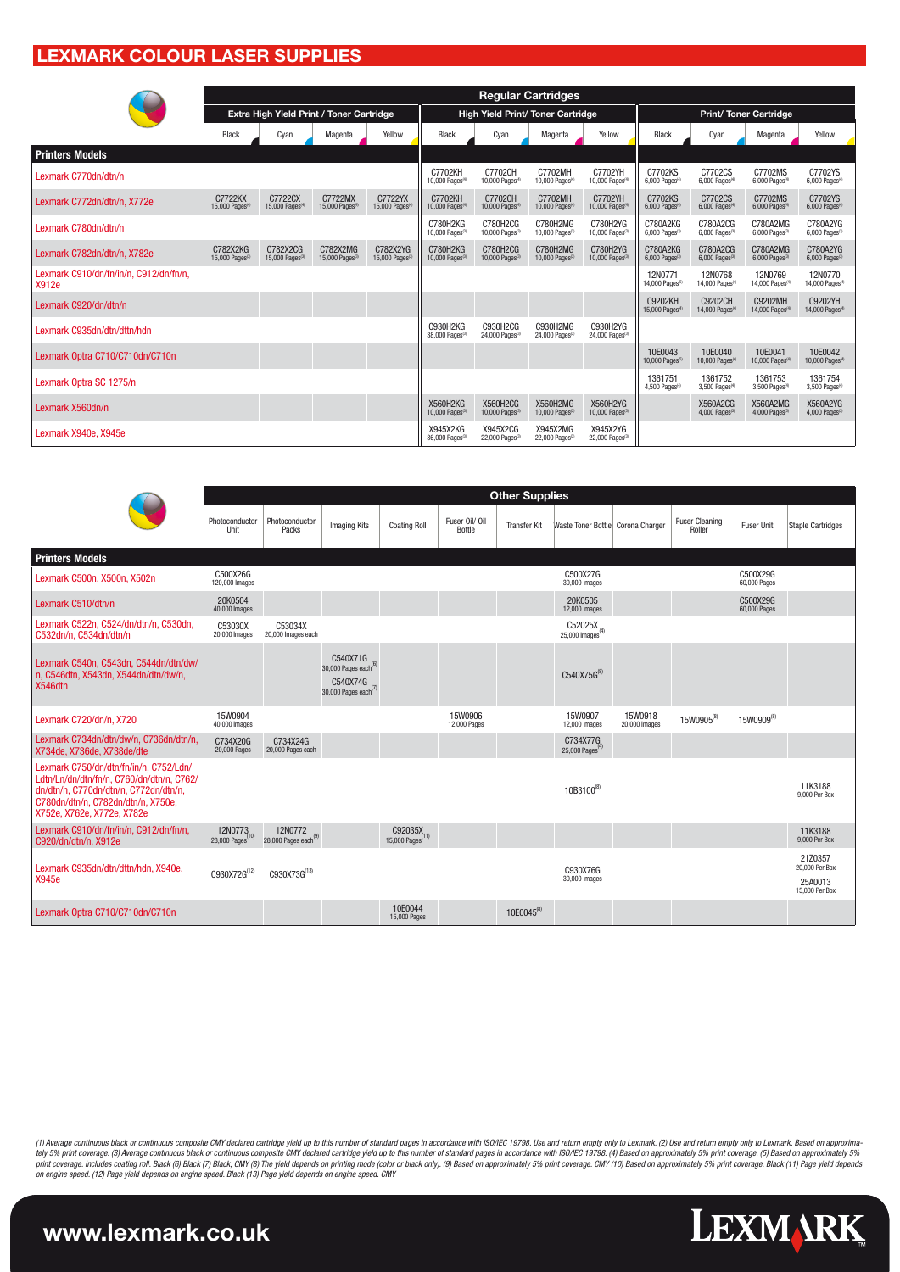#### **Lexmark Colour Laser Supplies**

|                                                 |                                        |                                          |                                        |                                        |                                                |                                         | <b>Regular Cartridges</b>                |                                                |                                              |                                               |                                          |                                         |
|-------------------------------------------------|----------------------------------------|------------------------------------------|----------------------------------------|----------------------------------------|------------------------------------------------|-----------------------------------------|------------------------------------------|------------------------------------------------|----------------------------------------------|-----------------------------------------------|------------------------------------------|-----------------------------------------|
|                                                 |                                        | Extra High Yield Print / Toner Cartridge |                                        |                                        |                                                |                                         | <b>High Yield Print/ Toner Cartridge</b> |                                                | <b>Print/Toner Cartridge</b>                 |                                               |                                          |                                         |
|                                                 | Black                                  | Cyan                                     | Magenta                                | Yellow                                 | Black                                          | Cyan                                    | Magenta                                  | Yellow                                         | Black                                        | Cyan                                          | Magenta                                  | Yellow                                  |
| <b>Printers Models</b>                          |                                        |                                          |                                        |                                        |                                                |                                         |                                          |                                                |                                              |                                               |                                          |                                         |
| Lexmark C770dn/dtn/n                            |                                        |                                          |                                        |                                        | C7702KH<br>10,000 Pages <sup>(4)</sup>         | C7702CH<br>10,000 Pages <sup>(4)</sup>  | C7702MH<br>10,000 Pages <sup>(4)</sup>   | C7702YH<br>10,000 Pages <sup>(4)</sup>         | C7702KS<br>6,000 Pages <sup>(4)</sup>        | C7702CS<br>6.000 Pages(4)                     | C7702MS<br>6,000 Pages <sup>(4)</sup>    | C7702YS<br>6,000 Pages <sup>(4)</sup>   |
| Lexmark C772dn/dtn/n, X772e                     | C7722KX<br>15,000 Pages <sup>(4</sup>  | C7722CX<br>15,000 Pages <sup>(4)</sup>   | C7722MX<br>15,000 Pages <sup>(4)</sup> | C7722YX<br>15,000 Pages <sup>(4)</sup> | C7702KH<br>10.000 Pages <sup>(4)</sup>         | C7702CH<br>10,000 Pages <sup>(4)</sup>  | C7702MH<br>10,000 Pages <sup>(4)</sup>   | C7702YH<br>10,000 Pages <sup>(4</sup>          | C7702KS<br>$6,000$ Pages <sup>(4)</sup>      | C7702CS<br>6,000 Pages <sup>(4)</sup>         | C7702MS<br>$6,000$ Pages <sup>(4)</sup>  | C7702YS<br>$6,000$ Pages <sup>(4)</sup> |
| Lexmark C780dn/dtn/n                            |                                        |                                          |                                        |                                        | C780H2KG<br>10,000 Pages(3)                    | C780H2CG<br>10,000 Pages(3)             | C780H2MG<br>10,000 Pages <sup>(3)</sup>  | C780H2YG<br>10.000 Pages <sup>(3)</sup>        | C780A2KG<br>6,000 Pages(3)                   | C780A2CG<br>6.000 Pages(3)                    | C780A2MG<br>6,000 Pages <sup>(3)</sup>   | C780A2YG<br>6,000 Pages(3)              |
| Lexmark C782dn/dtn/n, X782e                     | C782X2KG<br>15,000 Pages <sup>(3</sup> | C782X2CG<br>15,000 Pages <sup>(3</sup>   | C782X2MG<br>15,000 Pages(3)            | C782X2YG<br>15,000 $Paoes^{3}$         | C780H2KG<br>10,000 Pages(3)                    | C780H2CG<br>10,000 Pages <sup>(3)</sup> | C780H2MG<br>10,000 Pages <sup>(3)</sup>  | C780H2YG<br>10.000 Pages <sup>(3)</sup>        | C780A2KG<br>$6.000$ Pages <sup>(3)</sup>     | C780A2CG<br>$6.000$ Pages <sup>(3)</sup>      | C780A2MG<br>$6.000$ Pages <sup>(3)</sup> | C780A2YG<br>$6.000$ Pages <sup>(3</sup> |
| Lexmark C910/dn/fn/in/n, C912/dn/fn/n,<br>X912e |                                        |                                          |                                        |                                        |                                                |                                         |                                          |                                                | 12N0771<br>14,000 Pages <sup>®</sup>         | 12N0768<br>14,000 Pages <sup>(4)</sup>        | 12N0769<br>14,000 Pages <sup>(4</sup>    | 12N0770<br>14,000 Pages <sup>(4)</sup>  |
| Lexmark C920/dn/dtn/n                           |                                        |                                          |                                        |                                        |                                                |                                         |                                          |                                                | <b>C9202KH</b><br>15,000 Pages <sup>(4</sup> | <b>C9202CH</b><br>14,000 Pages <sup>(4)</sup> | C9202MH<br>14,000 Pages <sup>(4)</sup>   | C9202YH<br>14,000 Pages <sup>(4)</sup>  |
| Lexmark C935dn/dtn/dttn/hdn                     |                                        |                                          |                                        |                                        | <b>C930H2KG</b><br>38,000 Pages <sup>(3)</sup> | C930H2CG<br>24,000 Pages(3)             | C930H2MG<br>24,000 Pages <sup>(3)</sup>  | C930H2YG<br>24,000 Pages <sup>(3)</sup>        |                                              |                                               |                                          |                                         |
| Lexmark Optra C710/C710dn/C710n                 |                                        |                                          |                                        |                                        |                                                |                                         |                                          |                                                | 10E0043<br>10,000 Pages <sup>(5)</sup>       | 10E0040<br>10,000 Pages <sup>(4)</sup>        | 10E0041<br>10,000 Pages <sup>(4)</sup>   | 10E0042<br>10,000 Pages <sup>(4)</sup>  |
| Lexmark Optra SC 1275/n                         |                                        |                                          |                                        |                                        |                                                |                                         |                                          |                                                | 1361751<br>4.500 Pages <sup>(4)</sup>        | 1361752<br>3.500 Pages <sup>(4)</sup>         | 1361753<br>3.500 Pages <sup>(4)</sup>    | 1361754<br>3,500 Pages <sup>(4</sup>    |
| Lexmark X560dn/n                                |                                        |                                          |                                        |                                        | X560H2KG<br>10,000 Pages <sup>(3)</sup>        | X560H2CG<br>10,000 Pages(3)             | X560H2MG<br>10,000 Pages <sup>(3)</sup>  | <b>X560H2YG</b><br>10,000 Pages <sup>(3)</sup> |                                              | X560A2CG<br>4,000 Pages(3)                    | X560A2MG<br>4,000 Pages <sup>(3)</sup>   | X560A2YG<br>4,000 Pages <sup>(3)</sup>  |
| Lexmark X940e, X945e                            |                                        |                                          |                                        |                                        | X945X2KG<br>36,000 Pages(3)                    | X945X2CG<br>22,000 Pages(3)             | X945X2MG<br>22.000 Pages <sup>(3)</sup>  | X945X2YG<br>22.000 Pages <sup>(3)</sup>        |                                              |                                               |                                          |                                         |

|                                                                                                                                                                                                  | <b>Other Supplies</b>                   |                                             |                                                                                       |                                         |                          |                        |                                         |                          |                                 |                          |                                                        |
|--------------------------------------------------------------------------------------------------------------------------------------------------------------------------------------------------|-----------------------------------------|---------------------------------------------|---------------------------------------------------------------------------------------|-----------------------------------------|--------------------------|------------------------|-----------------------------------------|--------------------------|---------------------------------|--------------------------|--------------------------------------------------------|
|                                                                                                                                                                                                  | Photoconductor<br>Unit                  | Photoconductor<br>Packs                     | <b>Imaging Kits</b>                                                                   | <b>Coating Roll</b>                     | Fuser Oil/ Oil<br>Bottle | <b>Transfer Kit</b>    | Waste Toner Bottle Corona Charger       |                          | <b>Fuser Cleaning</b><br>Roller | <b>Fuser Unit</b>        | Staple Cartridges                                      |
| <b>Printers Models</b>                                                                                                                                                                           |                                         |                                             |                                                                                       |                                         |                          |                        |                                         |                          |                                 |                          |                                                        |
| Lexmark C500n, X500n, X502n                                                                                                                                                                      | C500X26G<br>120,000 Images              |                                             |                                                                                       |                                         |                          |                        | C500X27G<br>30,000 Images               |                          |                                 | C500X29G<br>60,000 Pages |                                                        |
| Lexmark C510/dtn/n                                                                                                                                                                               | 20K0504<br>40,000 Images                |                                             |                                                                                       |                                         |                          |                        | 20K0505<br>12,000 Images                |                          |                                 | C500X29G<br>60,000 Pages |                                                        |
| Lexmark C522n, C524/dn/dtn/n, C530dn,<br>C532dn/n. C534dn/dtn/n                                                                                                                                  | C53030X<br>20,000 Images                | C53034X<br>20,000 Images each               |                                                                                       |                                         |                          |                        | C52025X<br>25,000 Images <sup>(4)</sup> |                          |                                 |                          |                                                        |
| Lexmark C540n, C543dn, C544dn/dtn/dw/<br>n, C546dtn, X543dn, X544dn/dtn/dw/n,<br>X546dtn                                                                                                         |                                         |                                             | C540X71G<br>30,000 Pages each <sup>tc</sup><br>C540X74G<br>30,000 Pages each $^{(7)}$ |                                         |                          |                        | C540X75G(8)                             |                          |                                 |                          |                                                        |
| Lexmark C720/dn/n. X720                                                                                                                                                                          | 15W0904<br>40,000 Images                |                                             |                                                                                       |                                         | 15W0906<br>12,000 Pages  |                        | 15W0907<br>12,000 Images                | 15W0918<br>20,000 Images | 15W0905 <sup>(8)</sup>          | 15W0909 <sup>(8)</sup>   |                                                        |
| Lexmark C734dn/dtn/dw/n. C736dn/dtn/n.<br>X734de. X736de. X738de/dte                                                                                                                             | C734X20G<br>20,000 Pages                | C734X24G<br>20,000 Pages each               |                                                                                       |                                         |                          |                        | C734X77G<br>25,000 Pages <sup>(4</sup>  |                          |                                 |                          |                                                        |
| Lexmark C750/dn/dtn/fn/in/n, C752/Ldn/<br>Ldtn/Ln/dn/dtn/fn/n, C760/dn/dtn/n, C762/<br>dn/dtn/n, C770dn/dtn/n, C772dn/dtn/n,<br>C780dn/dtn/n, C782dn/dtn/n, X750e,<br>X752e, X762e, X772e, X782e |                                         |                                             |                                                                                       |                                         |                          |                        | 10B3100 <sup>(8)</sup>                  |                          |                                 |                          | 11K3188<br>9.000 Per Box                               |
| Lexmark C910/dn/fn/in/n, C912/dn/fn/n,<br>C920/dn/dtn/n. X912e                                                                                                                                   | 12N0773 <sub>(10)</sub><br>28,000 Pages | 12N0772<br>28,000 Pages each <sup>(9)</sup> |                                                                                       | C92035X <sub>(11)</sub><br>15,000 Pages |                          |                        |                                         |                          |                                 |                          | 11K3188<br>9.000 Per Box                               |
| Lexmark C935dn/dtn/dttn/hdn, X940e,<br>X945e                                                                                                                                                     | C930X72G(12)                            | C930X73G(13)                                |                                                                                       |                                         |                          |                        | C930X76G<br>30,000 Images               |                          |                                 |                          | 21Z0357<br>20,000 Per Box<br>25A0013<br>15,000 Per Box |
| Lexmark Optra C710/C710dn/C710n                                                                                                                                                                  |                                         |                                             |                                                                                       | 10E0044<br>15,000 Pages                 |                          | 10E0045 <sup>(8)</sup> |                                         |                          |                                 |                          |                                                        |

(1) Average continuous black or continuous composite CMY declared cartridge yield up to this number of standard pages in accordance with ISO/IEC 19798. Use and return empty only to Lexmark. (2) Use and return empty only to *on engine speed. (12) Page yield depends on engine speed. Black (13) Page yield depends on engine speed. CMY*

**LEXMARK**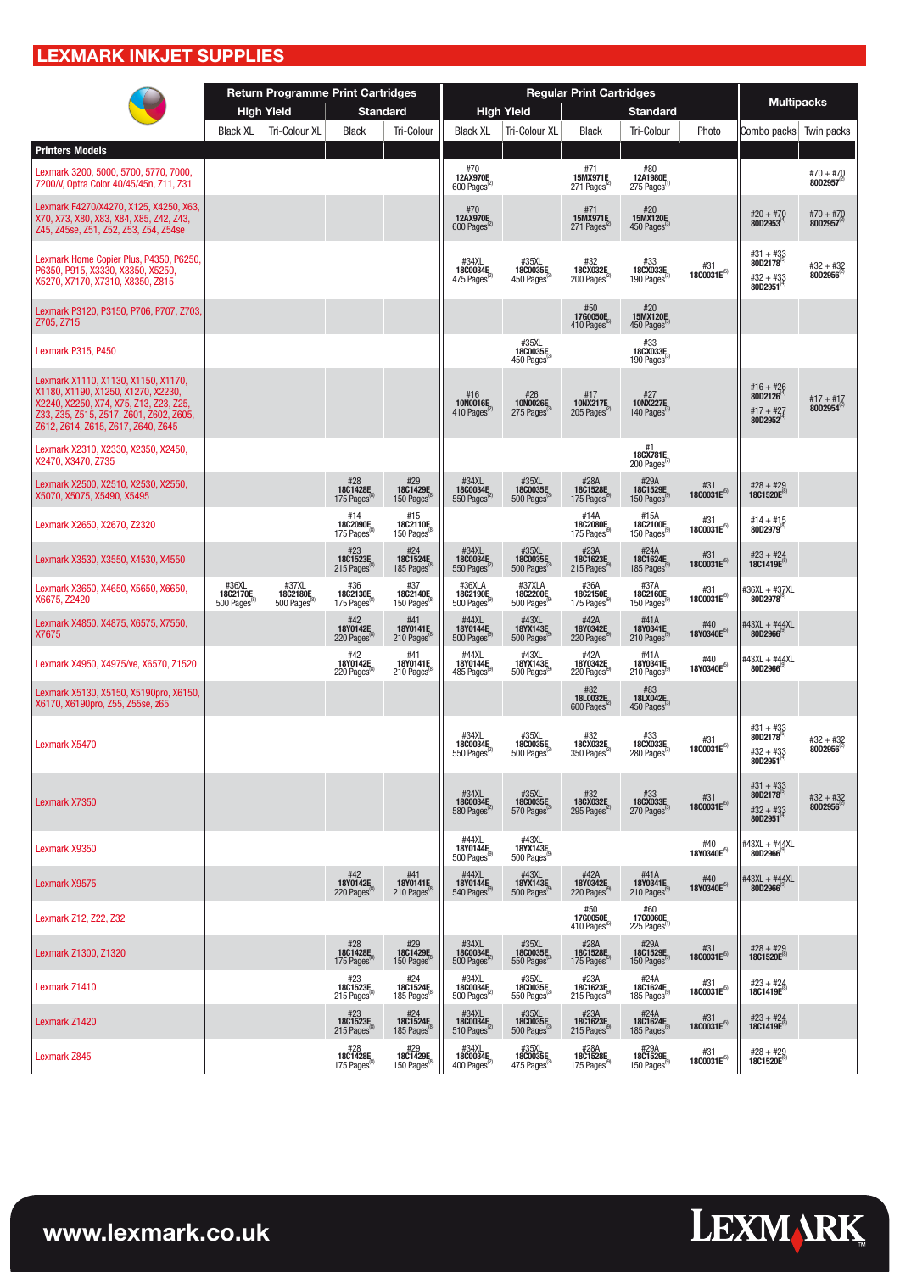### **LEXMARK INKJET SUPPLIES**

|                                                                                                                                                                                                      |                                | <b>Return Programme Print Cartridges</b> |                                |                                               |                                                                   |                                                                                       | <b>Regular Print Cartridges</b>             |                                                                                                                 |                                |                                                          |                                       |
|------------------------------------------------------------------------------------------------------------------------------------------------------------------------------------------------------|--------------------------------|------------------------------------------|--------------------------------|-----------------------------------------------|-------------------------------------------------------------------|---------------------------------------------------------------------------------------|---------------------------------------------|-----------------------------------------------------------------------------------------------------------------|--------------------------------|----------------------------------------------------------|---------------------------------------|
|                                                                                                                                                                                                      |                                | <b>High Yield</b>                        | <b>Standard</b>                |                                               |                                                                   | <b>High Yield</b>                                                                     |                                             | <b>Standard</b>                                                                                                 |                                | <b>Multipacks</b>                                        |                                       |
| <b>Printers Models</b>                                                                                                                                                                               | <b>Black XL</b>                | Tri-Colour XL                            | <b>Black</b>                   | <b>Tri-Colour</b>                             | <b>Black XL</b>                                                   | Tri-Colour XL                                                                         | <b>Black</b>                                | Tri-Colour                                                                                                      | Photo                          | Combo packs                                              | Twin packs                            |
| Lexmark 3200, 5000, 5700, 5770, 7000,<br>7200/V, Optra Color 40/45/45n, Z11, Z31                                                                                                                     |                                |                                          |                                |                                               | #70<br>12AX970E<br>600 Pages <sup>®</sup>                         |                                                                                       | #71<br>15MX971E<br>271 Pages                | #80<br>12A1980E<br>275 Pages                                                                                    |                                |                                                          | #70 + #70<br>80D2957                  |
| Lexmark F4270/X4270, X125, X4250, X63<br>X70, X73, X80, X83, X84, X85, Z42, Z43,<br>Z45, Z45se, Z51, Z52, Z53, Z54, Z54se                                                                            |                                |                                          |                                |                                               | #70<br>12AX970E<br>600 Pages                                      |                                                                                       | #71<br>15MX971E<br>271 Pages <sup>(2)</sup> | #20<br>15MX120E<br>450 Pages                                                                                    |                                | #20 + #70<br>80D2953 <sup>(4)</sup>                      | #70 + #70<br>80D2957                  |
| Lexmark Home Copier Plus, P4350, P6250,<br>P6350, P915, X3330, X3350, X5250,<br>X5270, X7170, X7310, X8350, Z815                                                                                     |                                |                                          |                                |                                               | #34XL<br>18C0034E<br>475 Pages                                    | #35XL<br>18C0035E<br>450 Pages                                                        | #32<br>18CX032E<br>200 Pages                | #33<br>18CX033E<br>190 Pages                                                                                    | #31<br>$1800031E^{(5)}$        | #31 + #33<br>80D2178<br>$#32 + #33$<br>80D2951           | $#32 + #32$<br>80D2956                |
| Lexmark P3120, P3150, P706, P707, Z703.<br>Z705, Z715                                                                                                                                                |                                |                                          |                                |                                               |                                                                   |                                                                                       | #50<br>17G0050E<br>410 Pages                | #20<br>15MX120E<br>450 Pages                                                                                    |                                |                                                          |                                       |
| Lexmark P315, P450                                                                                                                                                                                   |                                |                                          |                                |                                               |                                                                   | #35XL<br>18C0035E<br>450 Pages                                                        |                                             | #33<br>18CX033E<br>190 Pages                                                                                    |                                |                                                          |                                       |
| Lexmark X1110, X1130, X1150, X1170,<br>X1180, X1190, X1250, X1270, X2230,<br>X2240, X2250, X74, X75, Z13, Z23, Z25,<br>Z33, Z35, Z515, Z517, Z601, Z602, Z605,<br>Z612, Z614, Z615, Z617, Z640, Z645 |                                |                                          |                                |                                               | #16<br>10N0016E<br>410 Pages <sup>®</sup>                         | #26<br>10N0026E<br>275 Pages                                                          | #17<br>10NX217E<br>205 Pages                | #27<br><b>10NX227E</b><br>140 Pages                                                                             |                                | $#16 + #26$<br>80D2126<br>#17 + #27<br>80D2952           | #17 + #17<br>80D2954                  |
| Lexmark X2310, X2330, X2350, X2450,<br>X2470, X3470, Z735                                                                                                                                            |                                |                                          |                                |                                               |                                                                   |                                                                                       |                                             | #1<br>18CX781E<br>200 Pages <sup>"</sup>                                                                        |                                |                                                          |                                       |
| Lexmark X2500, X2510, X2530, X2550,<br>X5070, X5075, X5490, X5495                                                                                                                                    |                                |                                          | #28<br>18C1428E<br>175 Pages   | #29<br>18C1429E<br>150 Pages                  | #34XL<br>18C0034E<br>550 Pages <sup>12</sup>                      | #35XL<br>18C0035E<br>500 Pages                                                        | #28A<br>18C1528E<br>175 Pages               | #29A<br>18C1529E<br>150 Pages                                                                                   | #31<br>$18C0031E^{(5)}$        | #28 + #29<br>18C1520E                                    |                                       |
| Lexmark X2650, X2670, Z2320                                                                                                                                                                          |                                |                                          | #14<br>18C2090E<br>175 Pages   | #15<br>18C2110E<br>150 Pages <sup>®</sup>     |                                                                   |                                                                                       | #14A<br>18C2080E<br>175 Pages               | #15A<br>18C2100E<br>150 Pages                                                                                   | #31<br>18C0031E(5)             | $#14 + #15$<br>80D2979                                   |                                       |
| Lexmark X3530, X3550, X4530, X4550                                                                                                                                                                   |                                |                                          | #23<br>18C1523E<br>215 Pages   | #24<br>18C1524E<br>185 Pages <sup>®</sup>     | #34XL<br>18C0034E<br>550 Pages <sup>1</sup>                       | #35XL<br>18C0035E<br>500 Pages <sup>t</sup>                                           | #23A<br>18C1623E<br>215 Pages <sup>®</sup>  | #24A<br>18C1624E<br>185 Pages <sup>®</sup>                                                                      | #31<br>18C0031E(5)             | $#23 + #24$<br>18C1419E                                  |                                       |
| Lexmark X3650, X4650, X5650, X6650,<br>X6675, Z2420                                                                                                                                                  | #36XL<br>18C2170E<br>500 Pages | #37XL<br>18C2180E<br>500 Pages           | #36<br>18C2130E<br>175 Pages   | #37<br>18C2140E<br>150 Pages                  | #36XLA<br>18C2190E<br>500 Pages                                   | #37XLA<br>18C2200E<br>500 Pages                                                       | #36A<br>18C2150E<br>175 Pages               | #37A<br>18C2160E<br>150 Pages                                                                                   | #31<br>18C0031E(5)             | #36XL + #3 <u>7</u> XL<br>80D2978                        |                                       |
| Lexmark X4850, X4875, X6575, X7550,<br>X7675                                                                                                                                                         |                                |                                          | #42<br>18Y0142E<br>220 Pages   | #41<br>18Y0141E<br>210 Pages <sup>®</sup>     | #44XL<br>18Y0144E<br>500 Pages                                    | #43XL<br>18YX143E<br>500 Pages                                                        | #42A<br>18Y0342E<br>220 Pages               | #41A<br>18Y0341E<br>210 Pages                                                                                   | #40<br>18Y0340E <sup>(5)</sup> | #43XL + #44XL<br>80D2966                                 |                                       |
| Lexmark X4950, X4975/ve, X6570, Z1520                                                                                                                                                                |                                |                                          | #42<br>18Y0142E<br>220 Pages   | $#41$ 18Y0141E<br>210 Pages                   | #44XL<br>18Y0144E<br>485 Pages                                    | #43XL<br>18YX143E<br>500 Pages                                                        | #42A<br>18Y0342E<br>220 Pages               | #41A<br>18Y0341E<br>210 Pages                                                                                   | #40<br>18Y0340E(5)             | #43XL + #44XL<br>80D2966                                 |                                       |
| Lexmark X5130, X5150, X5190pro, X6150,<br>X6170, X6190pro, Z55, Z55se, z65                                                                                                                           |                                |                                          |                                |                                               |                                                                   |                                                                                       | #82<br>18L0032E<br>600 Pages <sup>(2)</sup> | #83<br><b>18LX042E</b> <sub>3</sub>                                                                             |                                |                                                          |                                       |
| Lexmark X5470                                                                                                                                                                                        |                                |                                          |                                |                                               | #34XL<br>18C0034E<br>550 Pages                                    | #35XL<br>18C0035E<br>500 Pages                                                        | 18CX032E<br>350 Pages                       | 18CX033E<br>280 Pages                                                                                           | #31<br>$1800031E^{(5)}$        | $#31 + #33$<br>80D2178<br>$#32 + #33$<br>$80D2951^{(4)}$ | $#32 + #32$<br>80D2956                |
| Lexmark X7350                                                                                                                                                                                        |                                |                                          |                                |                                               | #34XL<br>18C0034F<br>580 Pages                                    | #35XL<br>18C0035F<br>570 Pages                                                        | $#32$<br>18CX032F <sub>2</sub><br>295 Pages | $\frac{#33}{18}$<br>270 Pages                                                                                   | #31<br>$18C0031E^{(5)}$        | #31 + #33<br>80D2178<br>#32 + #33<br>80D2951             | $#32 + #32$<br>80D2956 <sup>(2)</sup> |
| Lexmark X9350                                                                                                                                                                                        |                                |                                          |                                |                                               | #44XL<br>18Y0144E <sub>9</sub>                                    | #43XL<br>1 <b>8YX143E</b><br>500 Pages <sup>®</sup>                                   |                                             |                                                                                                                 | #40<br>18Y0340E(5)             | #43XL + #44XL<br>80D2966                                 |                                       |
| Lexmark X9575                                                                                                                                                                                        |                                |                                          | $#42$<br>18Y0142E<br>220 Pages | $#41$<br>18Y0141E<br>210 Pages <sup>®</sup>   | #44XL<br>18Y0144E<br>540 Pages                                    | #43XL<br>1 <b>8YX143E</b><br>500 Pages <sup>(9)</sup>                                 | #42A<br>18Y0342E<br>220 Pages               | $#41A$<br>18Y0341E<br>210 Pages                                                                                 | #40<br>18Y0340E <sup>(5)</sup> | #43XL + #44XL<br>80D2966                                 |                                       |
| Lexmark Z12, Z22, Z32                                                                                                                                                                                |                                |                                          |                                |                                               |                                                                   |                                                                                       | #50<br>17G0050E<br>410 Pages <sup>®</sup>   | #60<br>17G0060E<br>225 Pages <sup>(1</sup>                                                                      |                                |                                                          |                                       |
| Lexmark Z1300, Z1320                                                                                                                                                                                 |                                |                                          | #28<br>18C1428F<br>175 Pages   | #29<br>18C1429E<br>150 Pages <sup>®</sup>     | #34XL<br><b>18C0034E</b> <sub>2</sub><br>500 Pages <sup>(2)</sup> | $\begin{array}{c} \text{\#35XL} \\ \textbf{1800035E} \\ \text{550 Pages} \end{array}$ | #28A<br>18C1528E<br>175 Pages               | $\begin{array}{c} \text{\#29A} \\ \text{\textbf{18C1529E}} \\ \text{\textbf{150 Pages}^{\text{9}}} \end{array}$ | #31<br>18C0031E(5)             | #28 + #29<br>18C1520E                                    |                                       |
| Lexmark Z1410                                                                                                                                                                                        |                                |                                          | #23<br>18C1523E<br>215 Pages   | $#24$<br>18C1524E<br>185 Pages <sup>(8)</sup> | #34XL<br>18C0034E<br>500 Pages <sup>12</sup>                      | #35XL<br>18C0035E <sub>3</sub>                                                        | #23A<br>18C1623E<br>215 Pages <sup>®</sup>  | #24A<br>18C1624E<br>185 Pages <sup>®</sup>                                                                      | #31<br>$1800031E^{(5)}$        | $#23 + #24$<br>18C1419E                                  |                                       |
| Lexmark Z1420                                                                                                                                                                                        |                                |                                          | #23<br>18C1523F<br>215 Pages   | #24<br>18C1524E<br>185 Pages <sup>®</sup>     | #34XL<br>18C0034E<br>510 Pages <sup>12</sup>                      | #35XL<br>18C0035E<br>500 Pages <sup>®</sup>                                           | #23A<br>18C1623E<br>215 Pages <sup>®</sup>  | #24A<br>18C1624E<br>185 Pages <sup>®</sup>                                                                      | #31<br>18C0031E(5)             | $#23 + #24$<br>18C1419E                                  |                                       |
| Lexmark Z845                                                                                                                                                                                         |                                |                                          | #28<br>18C1428E<br>175 Pages   | #29<br>18C1429E<br>150 Pages                  | #34XL<br>18C0034E<br>400 Pages <sup>®</sup>                       | #35XL<br>18C0035E<br>475 Pages                                                        | #28A<br>18C1528E<br>175 Pages               | #29A<br>18C1529E<br>150 Pages                                                                                   | #31<br>18C0031E(5)             | #28 + #29<br>18C1520E                                    |                                       |